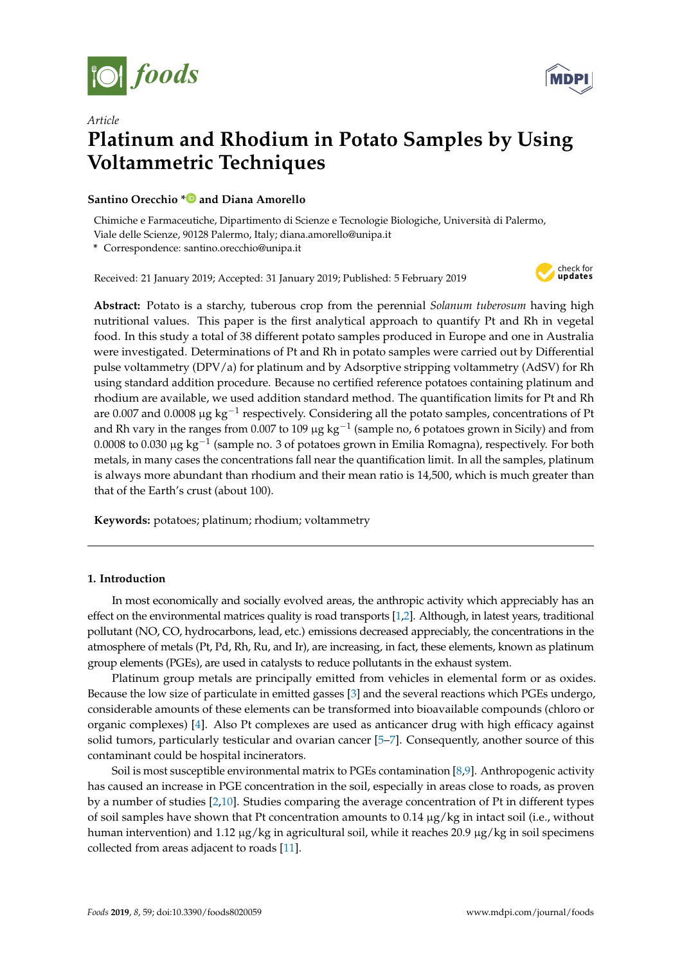



# *Article* **Platinum and Rhodium in Potato Samples by Using Voltammetric Techniques**

# **Santino Orecchio [\\*](https://orcid.org/0000-0002-5429-5188) and Diana Amorello**

Chimiche e Farmaceutiche, Dipartimento di Scienze e Tecnologie Biologiche, Università di Palermo, Viale delle Scienze, 90128 Palermo, Italy; diana.amorello@unipa.it

**\*** Correspondence: santino.orecchio@unipa.it

Received: 21 January 2019; Accepted: 31 January 2019; Published: 5 February 2019



**Abstract:** Potato is a starchy, tuberous crop from the perennial *Solanum tuberosum* having high nutritional values. This paper is the first analytical approach to quantify Pt and Rh in vegetal food. In this study a total of 38 different potato samples produced in Europe and one in Australia were investigated. Determinations of Pt and Rh in potato samples were carried out by Differential pulse voltammetry (DPV/a) for platinum and by Adsorptive stripping voltammetry (AdSV) for Rh using standard addition procedure. Because no certified reference potatoes containing platinum and rhodium are available, we used addition standard method. The quantification limits for Pt and Rh are 0.007 and 0.0008  $\mu$ g  $\text{kg}^{-1}$  respectively. Considering all the potato samples, concentrations of Pt and Rh vary in the ranges from 0.007 to 109  $\mu$ g kg $^{-1}$  (sample no, 6 potatoes grown in Sicily) and from 0.0008 to 0.030 μg kg $^{-1}$  (sample no. 3 of potatoes grown in Emilia Romagna), respectively. For both metals, in many cases the concentrations fall near the quantification limit. In all the samples, platinum is always more abundant than rhodium and their mean ratio is 14,500, which is much greater than that of the Earth's crust (about 100).

**Keywords:** potatoes; platinum; rhodium; voltammetry

# **1. Introduction**

In most economically and socially evolved areas, the anthropic activity which appreciably has an effect on the environmental matrices quality is road transports [\[1](#page-9-0)[,2\]](#page-9-1). Although, in latest years, traditional pollutant (NO, CO, hydrocarbons, lead, etc.) emissions decreased appreciably, the concentrations in the atmosphere of metals (Pt, Pd, Rh, Ru, and Ir), are increasing, in fact, these elements, known as platinum group elements (PGEs), are used in catalysts to reduce pollutants in the exhaust system.

Platinum group metals are principally emitted from vehicles in elemental form or as oxides. Because the low size of particulate in emitted gasses [\[3\]](#page-9-2) and the several reactions which PGEs undergo, considerable amounts of these elements can be transformed into bioavailable compounds (chloro or organic complexes) [\[4\]](#page-9-3). Also Pt complexes are used as anticancer drug with high efficacy against solid tumors, particularly testicular and ovarian cancer [\[5](#page-9-4)[–7\]](#page-9-5). Consequently, another source of this contaminant could be hospital incinerators.

Soil is most susceptible environmental matrix to PGEs contamination [\[8](#page-9-6)[,9\]](#page-9-7). Anthropogenic activity has caused an increase in PGE concentration in the soil, especially in areas close to roads, as proven by a number of studies [\[2](#page-9-1)[,10\]](#page-9-8). Studies comparing the average concentration of Pt in different types of soil samples have shown that Pt concentration amounts to 0.14 µg/kg in intact soil (i.e., without human intervention) and 1.12  $\mu$ g/kg in agricultural soil, while it reaches 20.9  $\mu$ g/kg in soil specimens collected from areas adjacent to roads [\[11\]](#page-9-9).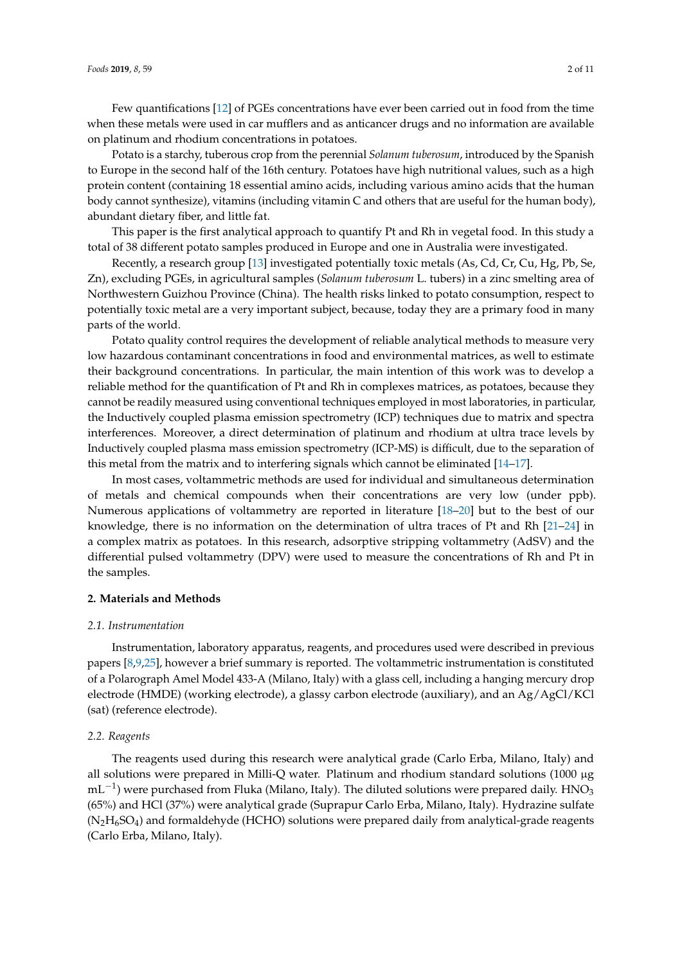Few quantifications [\[12\]](#page-9-10) of PGEs concentrations have ever been carried out in food from the time when these metals were used in car mufflers and as anticancer drugs and no information are available on platinum and rhodium concentrations in potatoes.

Potato is a starchy, tuberous crop from the perennial *Solanum tuberosum*, introduced by the Spanish to Europe in the second half of the 16th century. Potatoes have high nutritional values, such as a high protein content (containing 18 essential amino acids, including various amino acids that the human body cannot synthesize), vitamins (including vitamin C and others that are useful for the human body), abundant dietary fiber, and little fat.

This paper is the first analytical approach to quantify Pt and Rh in vegetal food. In this study a total of 38 different potato samples produced in Europe and one in Australia were investigated.

Recently, a research group [\[13\]](#page-9-11) investigated potentially toxic metals (As, Cd, Cr, Cu, Hg, Pb, Se, Zn), excluding PGEs, in agricultural samples (*Solanum tuberosum* L. tubers) in a zinc smelting area of Northwestern Guizhou Province (China). The health risks linked to potato consumption, respect to potentially toxic metal are a very important subject, because, today they are a primary food in many parts of the world.

Potato quality control requires the development of reliable analytical methods to measure very low hazardous contaminant concentrations in food and environmental matrices, as well to estimate their background concentrations. In particular, the main intention of this work was to develop a reliable method for the quantification of Pt and Rh in complexes matrices, as potatoes, because they cannot be readily measured using conventional techniques employed in most laboratories, in particular, the Inductively coupled plasma emission spectrometry (ICP) techniques due to matrix and spectra interferences. Moreover, a direct determination of platinum and rhodium at ultra trace levels by Inductively coupled plasma mass emission spectrometry (ICP-MS) is difficult, due to the separation of this metal from the matrix and to interfering signals which cannot be eliminated [\[14–](#page-9-12)[17\]](#page-9-13).

In most cases, voltammetric methods are used for individual and simultaneous determination of metals and chemical compounds when their concentrations are very low (under ppb). Numerous applications of voltammetry are reported in literature [\[18](#page-10-0)[–20\]](#page-10-1) but to the best of our knowledge, there is no information on the determination of ultra traces of Pt and Rh [\[21–](#page-10-2)[24\]](#page-10-3) in a complex matrix as potatoes. In this research, adsorptive stripping voltammetry (AdSV) and the differential pulsed voltammetry (DPV) were used to measure the concentrations of Rh and Pt in the samples.

## **2. Materials and Methods**

#### *2.1. Instrumentation*

Instrumentation, laboratory apparatus, reagents, and procedures used were described in previous papers [\[8,](#page-9-6)[9,](#page-9-7)[25\]](#page-10-4), however a brief summary is reported. The voltammetric instrumentation is constituted of a Polarograph Amel Model 433-A (Milano, Italy) with a glass cell, including a hanging mercury drop electrode (HMDE) (working electrode), a glassy carbon electrode (auxiliary), and an Ag/AgCl/KCl (sat) (reference electrode).

## *2.2. Reagents*

The reagents used during this research were analytical grade (Carlo Erba, Milano, Italy) and all solutions were prepared in Milli-Q water. Platinum and rhodium standard solutions (1000 µg  $\text{mL}^{-1}$ ) were purchased from Fluka (Milano, Italy). The diluted solutions were prepared daily. HNO<sub>3</sub> (65%) and HCl (37%) were analytical grade (Suprapur Carlo Erba, Milano, Italy). Hydrazine sulfate  $(N<sub>2</sub>H<sub>6</sub>SO<sub>4</sub>)$  and formaldehyde (HCHO) solutions were prepared daily from analytical-grade reagents (Carlo Erba, Milano, Italy).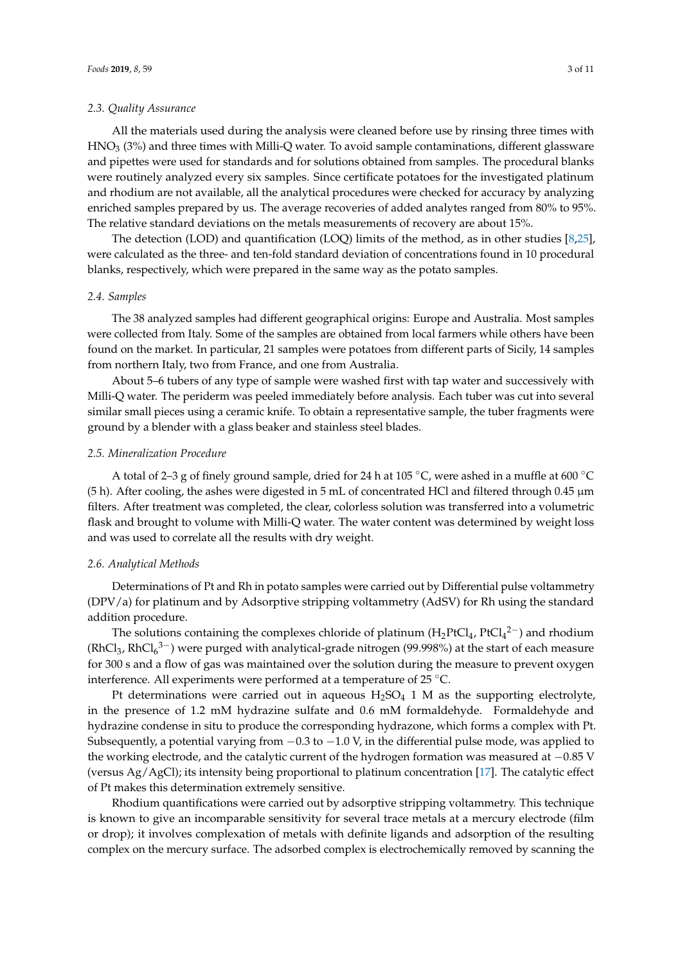#### *2.3. Quality Assurance*

All the materials used during the analysis were cleaned before use by rinsing three times with  $HNO<sub>3</sub>$  (3%) and three times with Milli-Q water. To avoid sample contaminations, different glassware and pipettes were used for standards and for solutions obtained from samples. The procedural blanks were routinely analyzed every six samples. Since certificate potatoes for the investigated platinum and rhodium are not available, all the analytical procedures were checked for accuracy by analyzing enriched samples prepared by us. The average recoveries of added analytes ranged from 80% to 95%. The relative standard deviations on the metals measurements of recovery are about 15%.

The detection (LOD) and quantification (LOQ) limits of the method, as in other studies [\[8,](#page-9-6)[25\]](#page-10-4), were calculated as the three- and ten-fold standard deviation of concentrations found in 10 procedural blanks, respectively, which were prepared in the same way as the potato samples.

# *2.4. Samples*

The 38 analyzed samples had different geographical origins: Europe and Australia. Most samples were collected from Italy. Some of the samples are obtained from local farmers while others have been found on the market. In particular, 21 samples were potatoes from different parts of Sicily, 14 samples from northern Italy, two from France, and one from Australia.

About 5–6 tubers of any type of sample were washed first with tap water and successively with Milli-Q water. The periderm was peeled immediately before analysis. Each tuber was cut into several similar small pieces using a ceramic knife. To obtain a representative sample, the tuber fragments were ground by a blender with a glass beaker and stainless steel blades.

## *2.5. Mineralization Procedure*

A total of 2–3 g of finely ground sample, dried for 24 h at 105 ◦C, were ashed in a muffle at 600 ◦C (5 h). After cooling, the ashes were digested in 5 mL of concentrated HCl and filtered through 0.45 µm filters. After treatment was completed, the clear, colorless solution was transferred into a volumetric flask and brought to volume with Milli-Q water. The water content was determined by weight loss and was used to correlate all the results with dry weight.

## *2.6. Analytical Methods*

Determinations of Pt and Rh in potato samples were carried out by Differential pulse voltammetry (DPV/a) for platinum and by Adsorptive stripping voltammetry (AdSV) for Rh using the standard addition procedure.

The solutions containing the complexes chloride of platinum ( $H_2PtCl_4$ ,  $PtCl_4^2^-$ ) and rhodium (RhCl<sub>3</sub>, RhCl<sub>6</sub><sup>3–</sup>) were purged with analytical-grade nitrogen (99.998%) at the start of each measure for 300 s and a flow of gas was maintained over the solution during the measure to prevent oxygen interference. All experiments were performed at a temperature of 25 ◦C.

Pt determinations were carried out in aqueous  $H_2SO_4$  1 M as the supporting electrolyte, in the presence of 1.2 mM hydrazine sulfate and 0.6 mM formaldehyde. Formaldehyde and hydrazine condense in situ to produce the corresponding hydrazone, which forms a complex with Pt. Subsequently, a potential varying from  $-0.3$  to  $-1.0$  V, in the differential pulse mode, was applied to the working electrode, and the catalytic current of the hydrogen formation was measured at −0.85 V (versus Ag/AgCl); its intensity being proportional to platinum concentration [\[17\]](#page-9-13). The catalytic effect of Pt makes this determination extremely sensitive.

Rhodium quantifications were carried out by adsorptive stripping voltammetry. This technique is known to give an incomparable sensitivity for several trace metals at a mercury electrode (film or drop); it involves complexation of metals with definite ligands and adsorption of the resulting complex on the mercury surface. The adsorbed complex is electrochemically removed by scanning the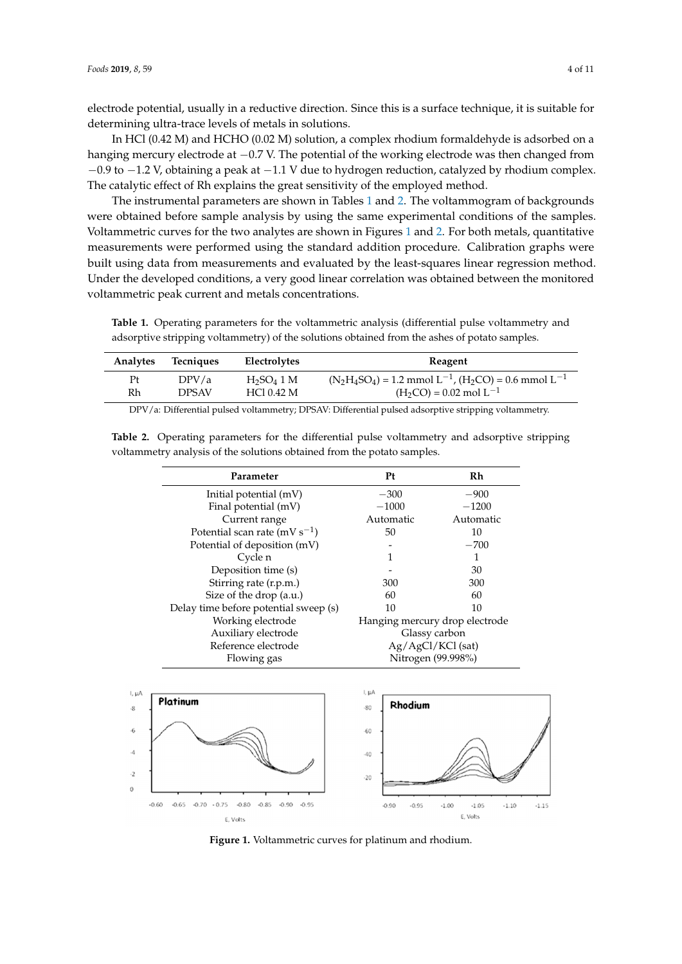electrode potential, usually in a reductive direction. Since this is a surface technique, it is suitable for determining ultra-trace levels of metals in solutions.

In HCl (0.42 M) and HCHO (0.02 M) solution, a complex rhodium formaldehyde is adsorbed on a hanging mercury electrode at −0.7 V. The potential of the working electrode was then changed from −0.9 to −1.2 V, obtaining a peak at −1.1 V due to hydrogen reduction, catalyzed by rhodium complex. The catalytic effect of Rh explains the great sensitivity of the employed method.

The instrumental parameters are shown in Tables [1](#page-3-0) and [2.](#page-3-1) The voltammogram of backgrounds were obtained before sample analysis by using the same experimental conditions of the samples. Voltammetric curves for the two analytes are shown in Figures [1](#page-3-2) and [2.](#page-4-0) For both metals, quantitative measurements were performed using the standard addition procedure. Calibration graphs were built using data from measurements and evaluated by the least-squares linear regression method. Under the developed conditions, a very good linear correlation was obtained between the monitored voltammetric peak current and metals concentrations. adsorptive stripping voltametry of the solutions obtained from the solutions of  $\mathbf{r}$ 

<span id="page-3-0"></span>**Table 1.** Operating parameters for the voltammetric analysis (differential pulse voltammetry and adsorptive stripping voltammetry) of the solutions obtained from the ashes of potato samples.

| Analytes | Tecniques    | Electrolytes  | Reagent                                                            |
|----------|--------------|---------------|--------------------------------------------------------------------|
| Pt       | DPV/a        | $H_2SO_4$ 1 M | $(N_2H_4SO_4) = 1.2$ mmol $L^{-1}$ , $(H_2CO) = 0.6$ mmol $L^{-1}$ |
| Rh       | <b>DPSAV</b> | HC10.42 M     | $(H_2CO) = 0.02$ mol $L^{-1}$                                      |
|          |              |               |                                                                    |

DPV/a: Differential pulsed voltammetry; DPSAV: Differential pulsed adsorptive stripping voltammetry.

| Parameter                             | Pt                  | Rh                             |
|---------------------------------------|---------------------|--------------------------------|
| Initial potential (mV)                | $-300$              | $-900$                         |
| Final potential (mV)                  | $-1000$             | $-1200$                        |
| Current range                         | Automatic           | Automatic                      |
| Potential scan rate (mV $s^{-1}$ )    | 50                  | 10                             |
| Potential of deposition (mV)          |                     | $-700$                         |
| Cycle n                               |                     |                                |
| Deposition time (s)                   |                     | 30                             |
| Stirring rate (r.p.m.)                | 300                 | 300                            |
| Size of the drop (a.u.)               | 60                  | 60                             |
| Delay time before potential sweep (s) | 10                  | 10                             |
| Working electrode                     |                     | Hanging mercury drop electrode |
| Auxiliary electrode                   | Glassy carbon       |                                |
| Reference electrode                   | $Ag/AgCl/KCl$ (sat) |                                |
| Flowing gas                           |                     | Nitrogen (99.998%)             |

<span id="page-3-1"></span>Table 2. Operating parameters for the differential pulse voltammetry and adsorptive stripping voltammetry analysis of the solutions obtained from the potato samples.

<span id="page-3-2"></span>

**Figure 1. Voltammetric curves for platinum and rhodium**. **Figure 1.** Voltammetric curves for platinum and rhodium.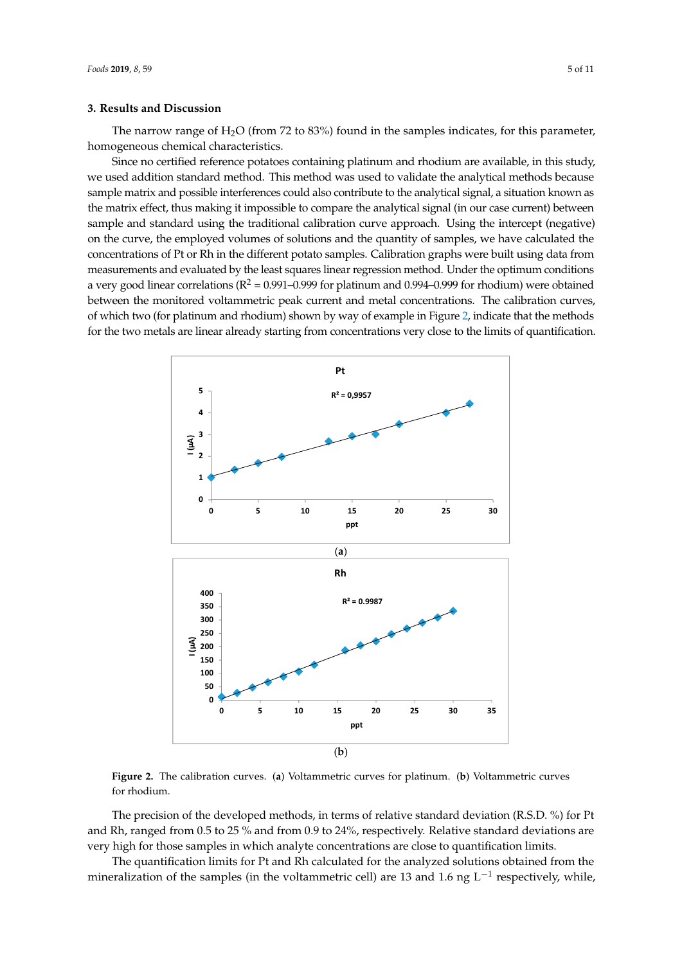The narrow range of  $H_2O$  (from 72 to 83%) found in the samples indicates, for this parameter, homogeneous chemical characteristics.

Since no certified reference potatoes containing platinum and rhodium are available, in this study, we used addition standard method. This method was used to validate the analytical methods because sample matrix and possible interferences could also contribute to the analytical signal, a situation known as the matrix effect, thus making it impossible to compare the analytical signal (in our case current) between sample and standard using the traditional calibration curve approach. Using the intercept (negative) on the curve, the employed volumes of solutions and the quantity of samples, we have calculated the concentrations of Pt or Rh in the different potato samples. Calibration graphs were built using data from measurements and evaluated by the least squares linear regression method. Under the optimum conditions a very good linear correlations ( $R^2 = 0.991 - 0.999$  for platinum and 0.994–0.999 for rhodium) were obtained between the monitored voltammetric peak current and metal concentrations. The calibration curves, of which two (for platinum and rhodium) shown by way of example in Figure [2,](#page-4-0) indicate that the methods of which two (for platinum and rhodium) shown by way of example in Figure 2, indicate that the methods for the two metals are linear already starting from concentrations very close to the limits of quantification. which we get plantification was invariantly shown by way of exam-

<span id="page-4-0"></span>

**Figure 2.** The calibration curves. (**a**) Voltammetric curves for platinum. (**b**) Voltammetric curves for **Figure 2.** The calibration curves. (**a**) Voltammetric curves for platinum. (**b**) Voltammetric curves for rhodium.

and Rh, ranged from 0.5 to 25 % and from 0.9 to 24%, respectively. Relative standard deviations are very high for those samples in which analyte concentrations are close to quantification limits. The precision of the developed methods, in terms of relative standard deviation (R.S.D. %) for Pt

The quantification limits for Pt and Rh calculated for the analyzed solutions obtained from the poralization of the samples (in the voltammetric cell) are 13 and 1.6 pg  $I^{-1}$  respectively, while mineralization of the samples (in the voltammetric cell) are 13 and 1.6 ng L<sup>-1</sup> respectively, while,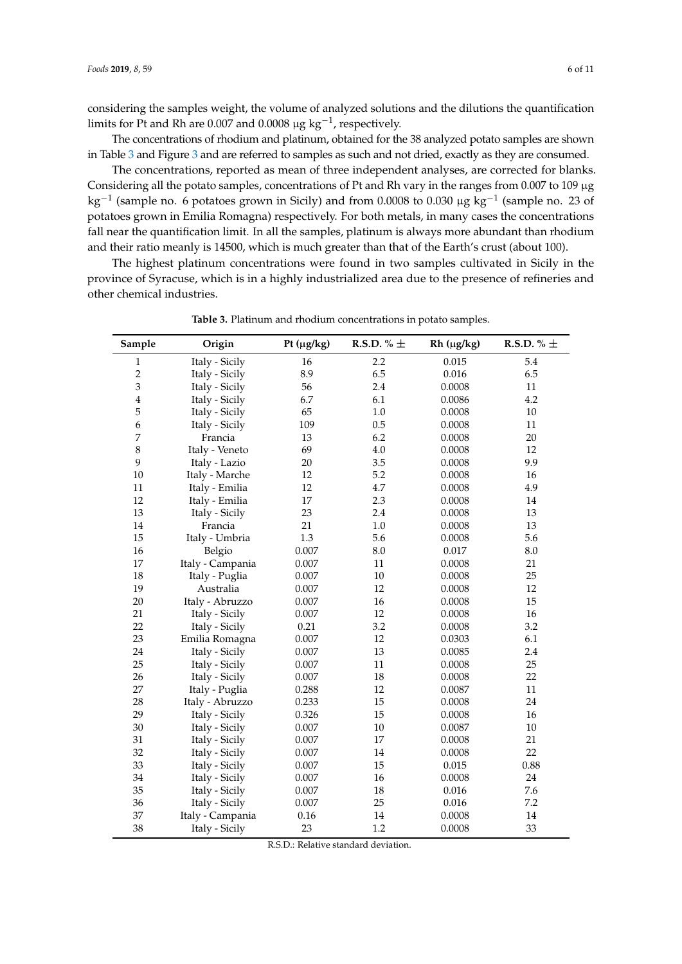considering the samples weight, the volume of analyzed solutions and the dilutions the quantification limits for Pt and Rh are 0.007 and 0.0008  $\mu$ g kg $^{-1}$ , respectively.

The concentrations of rhodium and platinum, obtained for the 38 analyzed potato samples are shown in Table [3](#page-5-0) and Figure [3](#page-6-0) and are referred to samples as such and not dried, exactly as they are consumed.

The concentrations, reported as mean of three independent analyses, are corrected for blanks. Considering all the potato samples, concentrations of Pt and Rh vary in the ranges from 0.007 to 109 µg kg<sup>-1</sup> (sample no. 6 potatoes grown in Sicily) and from 0.0008 to 0.030  $\mu$ g kg<sup>-1</sup> (sample no. 23 of potatoes grown in Emilia Romagna) respectively. For both metals, in many cases the concentrations fall near the quantification limit. In all the samples, platinum is always more abundant than rhodium and their ratio meanly is 14500, which is much greater than that of the Earth's crust (about 100).

The highest platinum concentrations were found in two samples cultivated in Sicily in the province of Syracuse, which is in a highly industrialized area due to the presence of refineries and other chemical industries.

<span id="page-5-0"></span>

| Sample         | Origin           | Pt $(\mu g/kg)$ | R.S.D. % $\pm$ | $Rh$ ( $\mu g/kg$ ) | R.S.D. % $\pm$ |
|----------------|------------------|-----------------|----------------|---------------------|----------------|
| $\mathbf{1}$   | Italy - Sicily   | 16              | 2.2            | 0.015               | 5.4            |
| $\overline{c}$ | Italy - Sicily   | 8.9             | 6.5            | 0.016               | 6.5            |
| 3              | Italy - Sicily   | 56              | 2.4            | 0.0008              | 11             |
| $\overline{4}$ | Italy - Sicily   | 6.7             | 6.1            | 0.0086              | 4.2            |
| 5              | Italy - Sicily   | 65              | 1.0            | 0.0008              | 10             |
| 6              | Italy - Sicily   | 109             | 0.5            | 0.0008              | 11             |
| 7              | Francia          | 13              | 6.2            | 0.0008              | 20             |
| $\,8\,$        | Italy - Veneto   | 69              | 4.0            | 0.0008              | 12             |
| 9              | Italy - Lazio    | 20              | 3.5            | 0.0008              | 9.9            |
| $10\,$         | Italy - Marche   | 12              | 5.2            | 0.0008              | 16             |
| 11             | Italy - Emilia   | 12              | 4.7            | 0.0008              | 4.9            |
| 12             | Italy - Emilia   | 17              | 2.3            | 0.0008              | 14             |
| 13             | Italy - Sicily   | 23              | 2.4            | 0.0008              | 13             |
| $14\,$         | Francia          | 21              | 1.0            | 0.0008              | 13             |
| 15             | Italy - Umbria   | 1.3             | 5.6            | 0.0008              | 5.6            |
| 16             | Belgio           | 0.007           | 8.0            | 0.017               | 8.0            |
| 17             | Italy - Campania | 0.007           | 11             | 0.0008              | 21             |
| 18             | Italy - Puglia   | 0.007           | 10             | 0.0008              | 25             |
| 19             | Australia        | 0.007           | 12             | 0.0008              | 12             |
| $20\,$         | Italy - Abruzzo  | 0.007           | 16             | 0.0008              | 15             |
| 21             | Italy - Sicily   | 0.007           | 12             | 0.0008              | 16             |
| 22             | Italy - Sicily   | 0.21            | 3.2            | 0.0008              | 3.2            |
| 23             | Emilia Romagna   | 0.007           | 12             | 0.0303              | 6.1            |
| 24             | Italy - Sicily   | 0.007           | 13             | 0.0085              | 2.4            |
| 25             | Italy - Sicily   | 0.007           | 11             | 0.0008              | 25             |
| 26             | Italy - Sicily   | 0.007           | 18             | 0.0008              | 22             |
| 27             | Italy - Puglia   | 0.288           | 12             | 0.0087              | 11             |
| 28             | Italy - Abruzzo  | 0.233           | 15             | 0.0008              | 24             |
| 29             | Italy - Sicily   | 0.326           | 15             | 0.0008              | 16             |
| 30             | Italy - Sicily   | 0.007           | 10             | 0.0087              | $10\,$         |
| 31             | Italy - Sicily   | 0.007           | 17             | 0.0008              | 21             |
| 32             | Italy - Sicily   | 0.007           | 14             | 0.0008              | 22             |
| 33             | Italy - Sicily   | 0.007           | 15             | 0.015               | 0.88           |
| 34             | Italy - Sicily   | 0.007           | 16             | 0.0008              | 24             |
| 35             | Italy - Sicily   | 0.007           | 18             | 0.016               | 7.6            |
| 36             | Italy - Sicily   | 0.007           | 25             | 0.016               | 7.2            |
| 37             | Italy - Campania | 0.16            | 14             | 0.0008              | 14             |
| 38             | Italy - Sicily   | 23              | 1.2            | 0.0008              | 33             |

**Table 3.** Platinum and rhodium concentrations in potato samples.

R.S.D.: Relative standard deviation.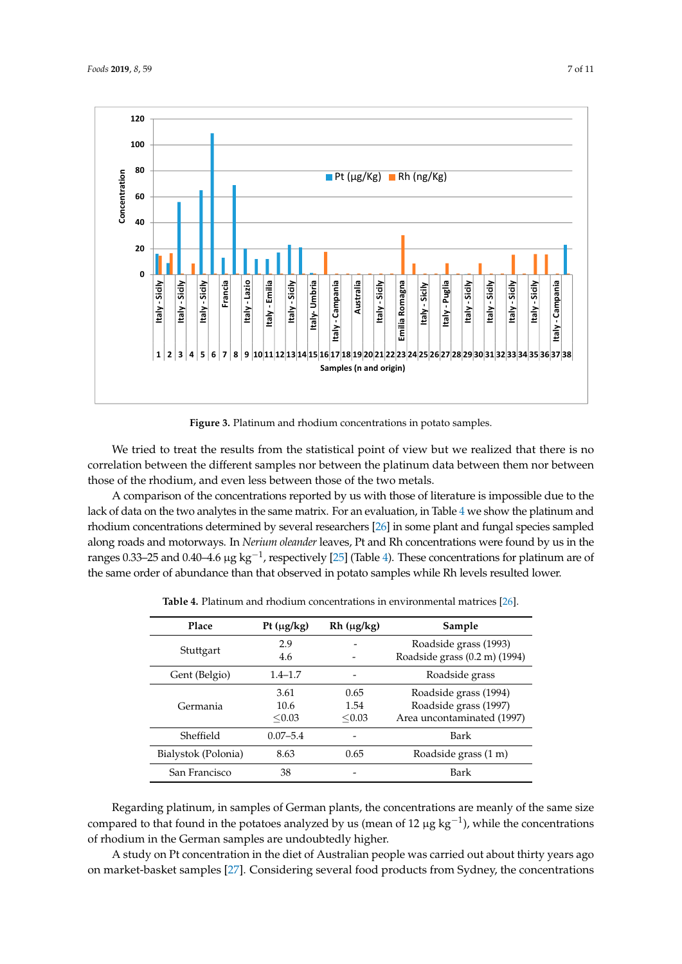<span id="page-6-0"></span>

**Figure 3.** Platinum and rhodium concentrations in potato samples. **Figure 3.** Platinum and rhodium concentrations in potato samples.

We tried to treat the results from the statistical point of view but we realized that there is no We tried to treat the results from the statistical point of view but we realized that there is no correlation between the different samples nor between the platinum data between them nor between correlation between the different samples nor between the platinum data between them nor between those of the rhodium, and even less between those of the two metals. those of the rhodium, and even less between those of the two metals.

A comparison of the concentrations reported by us with those of literature is impossible due to A comparison of the concentrations reported by us with those of literature is impossible due to the lack of data [on](#page-6-1) the two analytes in the same matrix. For an evaluation, in Table 4 we show the platinum and rhodium concentrations determined by [sev](#page-10-5)eral researchers [26] in some plant and fungal species sampled along roads and motorways. In *Nerium oleander* leaves, Pt and Rh concentrations were found by us in the ranges [0.33](#page-10-4)–25 an[d](#page-6-1) 0.40–4.6 µg kg<sup>-1</sup>, respectively [25] (Table 4). These concentrations for platinum are of the same order of abundance than that observed in potato samples while Rh levels resulted lower.

<span id="page-6-1"></span>

| Place               | Pt $(\mu g/kg)$        | $Rh(\mu g/kg)$         | Sample                                                                       |
|---------------------|------------------------|------------------------|------------------------------------------------------------------------------|
| Stuttgart           | 2.9<br>4.6             |                        | Roadside grass (1993)<br>Roadside grass (0.2 m) (1994)                       |
| Gent (Belgio)       | $1.4 - 1.7$            |                        | Roadside grass                                                               |
| Germania            | 3.61<br>10.6<br>< 0.03 | 0.65<br>1.54<br>< 0.03 | Roadside grass (1994)<br>Roadside grass (1997)<br>Area uncontaminated (1997) |
| Sheffield           | $0.07 - 5.4$           |                        | Bark                                                                         |
| Bialystok (Polonia) | 8.63                   | 0.65                   | Roadside grass (1 m)                                                         |
| San Francisco       | 38                     |                        | Bark                                                                         |

**Table 4.** Platinum and rhodium concentrations in environmental matrices [\[26\]](#page-10-5).

Regarding platinum, in samples of German plants, the concentrations are meanly of the same size compared to that found in the potatoes analyzed by us (mean of 12  $\mu$ g kg<sup>-1</sup>), while the concentrations of rhodium in the German samples are undoubtedly higher.

A study on Pt concentration in the diet of Australian people was carried out about thirty years ago on market-basket samples [\[27\]](#page-10-6). Considering several food products from Sydney, the concentrations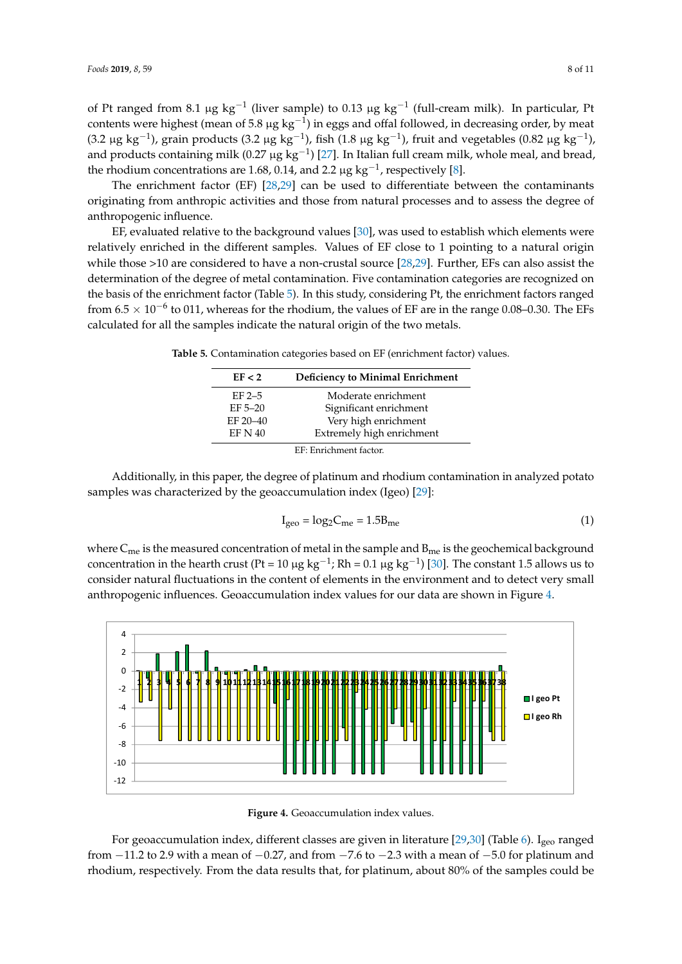of Pt ranged from 8.1 µg  $kg^{-1}$  (liver sample) to 0.13 µg  $kg^{-1}$  (full-cream milk). In particular, Pt contents were highest (mean of 5.8 μg kg<sup>-1</sup>) in eggs and offal followed, in decreasing order, by meat (3.2 μg kg<sup>-1</sup>), grain products (3.2 μg kg<sup>-1</sup>), fish (1.8 μg kg<sup>-1</sup>), fruit and vegetables (0.82 μg kg<sup>-1</sup>), and products containing milk (0.27  $\mu$ g kg<sup>-1</sup>) [\[27\]](#page-10-6). In Italian full cream milk, whole meal, and bread, the rhodium concentrations are 1.68, 0.14, and 2.2  $\mu$ g kg<sup>-1</sup>, respectively [\[8\]](#page-9-6). concentrations of Pt ranged from 8.1 μg kg−1 (liver sample) to 0.13 μg kg−1 (full-cream milk). In the 1 (full-c particular, Pt content of the state of 5.8 line of 5.8 line of 5.8 line of 5.8 line for 5.8 line for 5.8 line f

The enrichment factor  $(EF)$  [\[28,](#page-10-7)[29\]](#page-10-8) can be used to differentiate between the contaminants originating from anthropic activities and those from natural processes and to assess the degree of anthropogenic influence.

EF, evaluated relative to the background values  $[30]$ , was used to establish which elements were relatively enriched in the different samples. Values of EF close to 1 pointing to a natural origin while those  $>$ 10 are considered to have a non-crustal source [\[28,](#page-10-7)[29\]](#page-10-8). Further, EFs can also assist the determination of the degree of metal contamination. Five contamination categories are recognized on the basis of the enrichment factor (Table [5\)](#page-7-0). In this study, considering Pt, the enrichment factors ranged from  $6.5 \times 10^{-6}$  to 011, whereas for the rhodium, the values of EF are in the range 0.08–0.30. The EFs calculated for all the samples indicate the natural origin of the two metals.

<span id="page-7-0"></span>**Table 5.** Contamination categories based on EF (enrichment factor) values.

| EF < 2                 | <b>Deficiency to Minimal Enrichment</b> |  |
|------------------------|-----------------------------------------|--|
| $EF$ 2-5               | Moderate enrichment                     |  |
| $EF 5-20$              | Significant enrichment                  |  |
| EF 20-40               | Very high enrichment                    |  |
| <b>EF N 40</b>         | Extremely high enrichment               |  |
| EF: Enrichment factor. |                                         |  |

Additionally, in this paper, the degree of platinum and rhodium contamination in analyzed potato Additionally, in this paper, the degree of platinum and rhodium contamination in analyzed samples was characterized by the geoaccumulation index (Igeo) [\[29\]](#page-10-8):

$$
I_{\rm geo} = \log_2 C_{\rm me} = 1.5 B_{\rm me}
$$
 (1)

where  $\mathsf{C}_{\mathsf{me}}$  is the measured concentration of metal in the sample and  $\mathsf{B}_{\mathsf{me}}$  is the geochemical background concentration in the hearth crust (Pt = 10  $\mu$ g kg<sup>-1</sup>); Rh = 0.1  $\mu$ g kg<sup>-1</sup>) [\[30\]](#page-10-9). The constant 1.5 allows us to consider natural fluctuations in the content of elements in the environment and to detect very small and to detect very small anthropogenic influences. Geoaccumulation index values for our data are shown in Figure [4.](#page-7-1) 4. where Cme is the measured concentration of metal in the sample and Bme is the geochemical where  $c_{\text{me}}$  is the heastical concentration of field in the sample and  $p_{\text{free}}$  is  $v_{\text{e}}$ . The constant 1.5  $v_{\text{e}}$ 

<span id="page-7-1"></span>

**Figure 4.** Geoaccumulation index values.

For geoaccumulation index, different classes are given in literature [\[29,](#page-10-8)[30\]](#page-10-9) (Table [6\)](#page-8-0). I<sub>geo</sub> ranged from  $-11.2$  to 2.9 with a mean of  $-0.27$ , and from  $-7.6$  to  $-2.3$  with a mean of  $-5.0$  for platinum and rhodium, respectively. From the data results that, for platinum, about 80% of the samples could be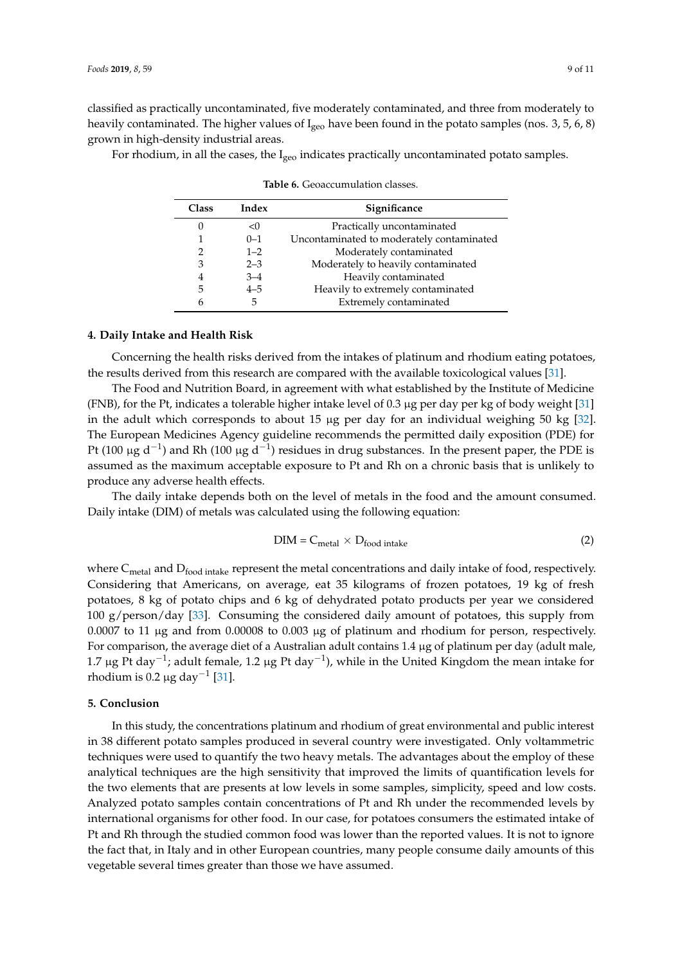classified as practically uncontaminated, five moderately contaminated, and three from moderately to heavily contaminated. The higher values of  $I_{\text{geo}}$  have been found in the potato samples (nos. 3, 5, 6, 8) grown in high-density industrial areas.

<span id="page-8-0"></span>For rhodium, in all the cases, the  $I_{\text{geo}}$  indicates practically uncontaminated potato samples.

| <b>Class</b> | Index   | Significance                              |
|--------------|---------|-------------------------------------------|
|              | < 0     | Practically uncontaminated                |
|              | $0 - 1$ | Uncontaminated to moderately contaminated |
| 2            | $1 - 2$ | Moderately contaminated                   |
| 3            | $2 - 3$ | Moderately to heavily contaminated        |
| 4            | $3 - 4$ | Heavily contaminated                      |
| 5            | $4 - 5$ | Heavily to extremely contaminated         |
| 6            | 5       | Extremely contaminated                    |

**Table 6.** Geoaccumulation classes.

# **4. Daily Intake and Health Risk**

Concerning the health risks derived from the intakes of platinum and rhodium eating potatoes, the results derived from this research are compared with the available toxicological values [\[31\]](#page-10-10).

The Food and Nutrition Board, in agreement with what established by the Institute of Medicine (FNB), for the Pt, indicates a tolerable higher intake level of 0.3 µg per day per kg of body weight [\[31\]](#page-10-10) in the adult which corresponds to about 15  $\mu$ g per day for an individual weighing 50 kg [\[32\]](#page-10-11). The European Medicines Agency guideline recommends the permitted daily exposition (PDE) for Pt (100 µg d<sup>-1</sup>) and Rh (100 µg d<sup>-1</sup>) residues in drug substances. In the present paper, the PDE is assumed as the maximum acceptable exposure to Pt and Rh on a chronic basis that is unlikely to produce any adverse health effects.

The daily intake depends both on the level of metals in the food and the amount consumed. Daily intake (DIM) of metals was calculated using the following equation:

$$
DIM = C_{metal} \times D_{food\ intake}
$$
 (2)

where  $C_{\text{metal}}$  and  $D_{\text{food intake}}$  represent the metal concentrations and daily intake of food, respectively. Considering that Americans, on average, eat 35 kilograms of frozen potatoes, 19 kg of fresh potatoes, 8 kg of potato chips and 6 kg of dehydrated potato products per year we considered 100 g/person/day [\[33\]](#page-10-12). Consuming the considered daily amount of potatoes, this supply from 0.0007 to 11 µg and from 0.00008 to 0.003 µg of platinum and rhodium for person, respectively. For comparison, the average diet of a Australian adult contains 1.4 µg of platinum per day (adult male, 1.7 μg Pt day<sup>-1</sup>; adult female, 1.2 μg Pt day<sup>-1</sup>), while in the United Kingdom the mean intake for rhodium is 0.2 µg day<sup>-1</sup> [\[31\]](#page-10-10).

# **5. Conclusion**

In this study, the concentrations platinum and rhodium of great environmental and public interest in 38 different potato samples produced in several country were investigated. Only voltammetric techniques were used to quantify the two heavy metals. The advantages about the employ of these analytical techniques are the high sensitivity that improved the limits of quantification levels for the two elements that are presents at low levels in some samples, simplicity, speed and low costs. Analyzed potato samples contain concentrations of Pt and Rh under the recommended levels by international organisms for other food. In our case, for potatoes consumers the estimated intake of Pt and Rh through the studied common food was lower than the reported values. It is not to ignore the fact that, in Italy and in other European countries, many people consume daily amounts of this vegetable several times greater than those we have assumed.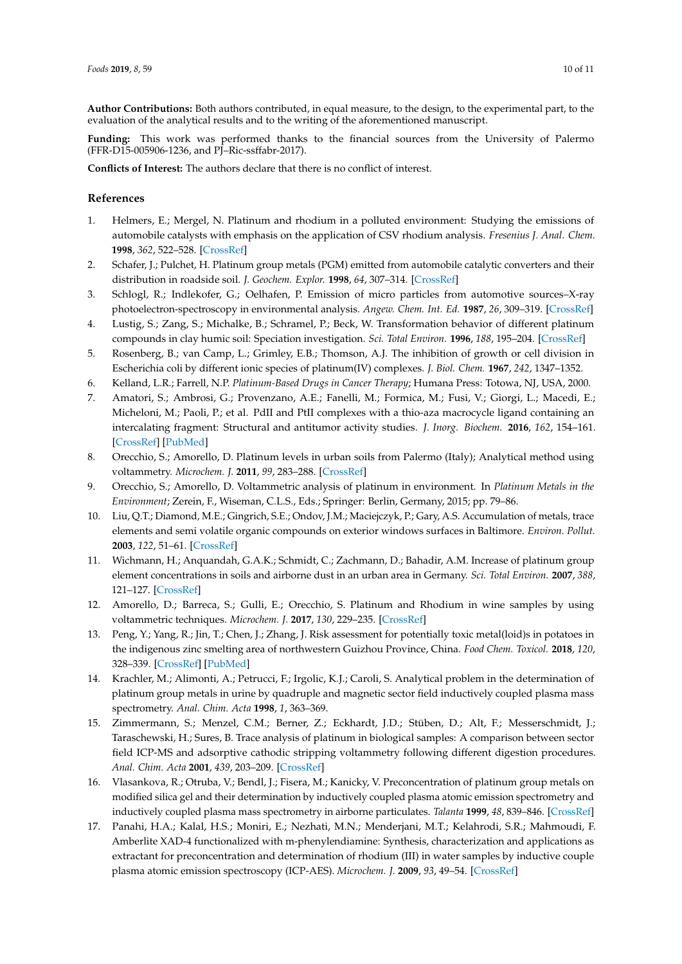**Author Contributions:** Both authors contributed, in equal measure, to the design, to the experimental part, to the evaluation of the analytical results and to the writing of the aforementioned manuscript.

**Funding:** This work was performed thanks to the financial sources from the University of Palermo (FFR-D15-005906-1236, and PJ–Ric-ssffabr-2017).

**Conflicts of Interest:** The authors declare that there is no conflict of interest.

# **References**

- <span id="page-9-0"></span>1. Helmers, E.; Mergel, N. Platinum and rhodium in a polluted environment: Studying the emissions of automobile catalysts with emphasis on the application of CSV rhodium analysis. *Fresenius J. Anal. Chem.* **1998**, *362*, 522–528. [\[CrossRef\]](http://dx.doi.org/10.1007/s002160051118)
- <span id="page-9-1"></span>2. Schafer, J.; Pulchet, H. Platinum group metals (PGM) emitted from automobile catalytic converters and their distribution in roadside soil. *J. Geochem. Explor.* **1998**, *64*, 307–314. [\[CrossRef\]](http://dx.doi.org/10.1016/S0375-6742(98)00040-5)
- <span id="page-9-2"></span>3. Schlogl, R.; Indlekofer, G.; Oelhafen, P. Emission of micro particles from automotive sources–X-ray photoelectron-spectroscopy in environmental analysis. *Angew. Chem. Int. Ed.* **1987**, *26*, 309–319. [\[CrossRef\]](http://dx.doi.org/10.1002/anie.198703091)
- <span id="page-9-3"></span>4. Lustig, S.; Zang, S.; Michalke, B.; Schramel, P.; Beck, W. Transformation behavior of different platinum compounds in clay humic soil: Speciation investigation. *Sci. Total Environ.* **1996**, *188*, 195–204. [\[CrossRef\]](http://dx.doi.org/10.1016/0048-9697(96)05172-8)
- <span id="page-9-4"></span>5. Rosenberg, B.; van Camp, L.; Grimley, E.B.; Thomson, A.J. The inhibition of growth or cell division in Escherichia coli by different ionic species of platinum(IV) complexes. *J. Biol. Chem.* **1967**, *242*, 1347–1352.
- 6. Kelland, L.R.; Farrell, N.P. *Platinum-Based Drugs in Cancer Therapy*; Humana Press: Totowa, NJ, USA, 2000.
- <span id="page-9-5"></span>7. Amatori, S.; Ambrosi, G.; Provenzano, A.E.; Fanelli, M.; Formica, M.; Fusi, V.; Giorgi, L.; Macedi, E.; Micheloni, M.; Paoli, P.; et al. PdII and PtII complexes with a thio-aza macrocycle ligand containing an intercalating fragment: Structural and antitumor activity studies. *J. Inorg. Biochem.* **2016**, *162*, 154–161. [\[CrossRef\]](http://dx.doi.org/10.1016/j.jinorgbio.2016.06.027) [\[PubMed\]](http://www.ncbi.nlm.nih.gov/pubmed/27389827)
- <span id="page-9-6"></span>8. Orecchio, S.; Amorello, D. Platinum levels in urban soils from Palermo (Italy); Analytical method using voltammetry. *Microchem. J.* **2011**, *99*, 283–288. [\[CrossRef\]](http://dx.doi.org/10.1016/j.microc.2011.05.016)
- <span id="page-9-7"></span>9. Orecchio, S.; Amorello, D. Voltammetric analysis of platinum in environment. In *Platinum Metals in the Environment*; Zerein, F., Wiseman, C.L.S., Eds.; Springer: Berlin, Germany, 2015; pp. 79–86.
- <span id="page-9-8"></span>10. Liu, Q.T.; Diamond, M.E.; Gingrich, S.E.; Ondov, J.M.; Maciejczyk, P.; Gary, A.S. Accumulation of metals, trace elements and semi volatile organic compounds on exterior windows surfaces in Baltimore. *Environ. Pollut.* **2003**, *122*, 51–61. [\[CrossRef\]](http://dx.doi.org/10.1016/S0269-7491(02)00286-5)
- <span id="page-9-9"></span>11. Wichmann, H.; Anquandah, G.A.K.; Schmidt, C.; Zachmann, D.; Bahadir, A.M. Increase of platinum group element concentrations in soils and airborne dust in an urban area in Germany. *Sci. Total Environ.* **2007**, *388*, 121–127. [\[CrossRef\]](http://dx.doi.org/10.1016/j.scitotenv.2007.07.064)
- <span id="page-9-10"></span>12. Amorello, D.; Barreca, S.; Gulli, E.; Orecchio, S. Platinum and Rhodium in wine samples by using voltammetric techniques. *Microchem. J.* **2017**, *130*, 229–235. [\[CrossRef\]](http://dx.doi.org/10.1016/j.microc.2016.09.010)
- <span id="page-9-11"></span>13. Peng, Y.; Yang, R.; Jin, T.; Chen, J.; Zhang, J. Risk assessment for potentially toxic metal(loid)s in potatoes in the indigenous zinc smelting area of northwestern Guizhou Province, China. *Food Chem. Toxicol.* **2018**, *120*, 328–339. [\[CrossRef\]](http://dx.doi.org/10.1016/j.fct.2018.07.026) [\[PubMed\]](http://www.ncbi.nlm.nih.gov/pubmed/30016697)
- <span id="page-9-12"></span>14. Krachler, M.; Alimonti, A.; Petrucci, F.; Irgolic, K.J.; Caroli, S. Analytical problem in the determination of platinum group metals in urine by quadruple and magnetic sector field inductively coupled plasma mass spectrometry. *Anal. Chim. Acta* **1998**, *1*, 363–369.
- 15. Zimmermann, S.; Menzel, C.M.; Berner, Z.; Eckhardt, J.D.; Stüben, D.; Alt, F.; Messerschmidt, J.; Taraschewski, H.; Sures, B. Trace analysis of platinum in biological samples: A comparison between sector field ICP-MS and adsorptive cathodic stripping voltammetry following different digestion procedures. *Anal. Chim. Acta* **2001**, *439*, 203–209. [\[CrossRef\]](http://dx.doi.org/10.1016/S0003-2670(01)01041-8)
- 16. Vlasankova, R.; Otruba, V.; Bendl, J.; Fisera, M.; Kanicky, V. Preconcentration of platinum group metals on modified silica gel and their determination by inductively coupled plasma atomic emission spectrometry and inductively coupled plasma mass spectrometry in airborne particulates. *Talanta* **1999**, *48*, 839–846. [\[CrossRef\]](http://dx.doi.org/10.1016/S0039-9140(98)00100-3)
- <span id="page-9-13"></span>17. Panahi, H.A.; Kalal, H.S.; Moniri, E.; Nezhati, M.N.; Menderjani, M.T.; Kelahrodi, S.R.; Mahmoudi, F. Amberlite XAD-4 functionalized with m-phenylendiamine: Synthesis, characterization and applications as extractant for preconcentration and determination of rhodium (III) in water samples by inductive couple plasma atomic emission spectroscopy (ICP-AES). *Microchem. J.* **2009**, *93*, 49–54. [\[CrossRef\]](http://dx.doi.org/10.1016/j.microc.2009.04.007)